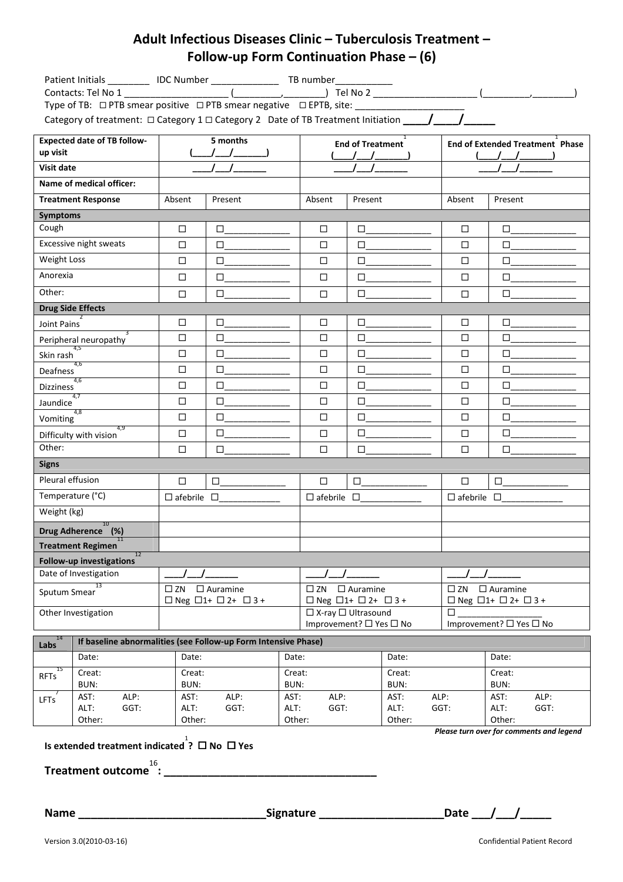## Adult Infectious Diseases Clinic – Tuberculosis Treatment – Follow-up Form Continuation Phase – (6)

| Patient Initials ___________ IDC Number __________________ TB number ___________<br>Type of TB: □ PTB smear positive □ PTB smear negative □ EPTB, site: ___________________ |                                                                |                                           |              |                         |                                                                   |                         |                                                     |                                        |                              |  |
|-----------------------------------------------------------------------------------------------------------------------------------------------------------------------------|----------------------------------------------------------------|-------------------------------------------|--------------|-------------------------|-------------------------------------------------------------------|-------------------------|-----------------------------------------------------|----------------------------------------|------------------------------|--|
| <b>Expected date of TB follow-</b><br>up visit                                                                                                                              |                                                                | 5 months<br>$(\_$                         |              |                         | <b>End of Treatment</b>                                           |                         |                                                     | <b>End of Extended Treatment Phase</b> |                              |  |
| Visit date                                                                                                                                                                  |                                                                |                                           |              |                         | 111                                                               |                         |                                                     |                                        |                              |  |
| Name of medical officer:                                                                                                                                                    |                                                                |                                           |              |                         |                                                                   |                         |                                                     |                                        |                              |  |
|                                                                                                                                                                             | <b>Treatment Response</b>                                      | Absent                                    | Present      |                         | Absent                                                            | Present                 |                                                     | Absent                                 | Present                      |  |
| <b>Symptoms</b>                                                                                                                                                             |                                                                |                                           |              |                         |                                                                   |                         |                                                     |                                        |                              |  |
| Cough                                                                                                                                                                       |                                                                | $\Box$                                    | $\Box$       |                         | $\Box$                                                            | $\Box$                  |                                                     | $\Box$                                 | $\Box$                       |  |
| Excessive night sweats                                                                                                                                                      |                                                                | □                                         | $\Box$       |                         | □                                                                 | $\Box$                  |                                                     | □                                      | □                            |  |
| Weight Loss                                                                                                                                                                 |                                                                | $\Box$                                    | $\Box$       |                         | $\Box$                                                            | $\Box$                  |                                                     | □                                      | $\Box$                       |  |
| Anorexia                                                                                                                                                                    |                                                                | $\Box$                                    | $\Box$       |                         | $\Box$                                                            | $\Box$                  |                                                     | $\Box$                                 | $\Box$                       |  |
| Other:                                                                                                                                                                      |                                                                | $\Box$                                    | $\Box$       |                         | $\Box$                                                            | $\Box$                  |                                                     | $\Box$                                 | □                            |  |
|                                                                                                                                                                             | <b>Drug Side Effects</b>                                       |                                           |              |                         |                                                                   |                         |                                                     |                                        |                              |  |
| Joint Pains                                                                                                                                                                 |                                                                | $\Box$                                    | $\Box$       |                         | $\Box$                                                            | $\Box$                  |                                                     | $\Box$                                 | $\Box$                       |  |
|                                                                                                                                                                             | Peripheral neuropathy                                          | □                                         | $\Box$       |                         | □                                                                 | $\Box$                  |                                                     | □                                      | $\Box$                       |  |
| Skin rash                                                                                                                                                                   |                                                                | □                                         | □            |                         | $\Box$                                                            |                         |                                                     | $\Box$                                 | $\Box$                       |  |
| 4,6<br><b>Deafness</b>                                                                                                                                                      |                                                                | $\Box$                                    | $\Box$       |                         | $\Box$                                                            | $\Box$                  |                                                     | $\Box$                                 | $\Box$                       |  |
| 4,6<br><b>Dizziness</b>                                                                                                                                                     |                                                                | □                                         | $\Box$       |                         | $\Box$                                                            | $\Box$                  |                                                     | □                                      | $\Box$                       |  |
| 4,7<br>Jaundice                                                                                                                                                             |                                                                | □                                         | $\Box$       |                         | □                                                                 | $\Box$                  |                                                     | □                                      | $\Box$                       |  |
| 4,8<br>Vomiting                                                                                                                                                             |                                                                | $\Box$                                    | $\Box$       |                         | $\Box$                                                            | $\Box$                  |                                                     | $\Box$                                 | $\Box$                       |  |
| 4.9<br>Difficulty with vision                                                                                                                                               |                                                                | $\Box$                                    | $\Box$       |                         | $\Box$                                                            | $\Box$                  |                                                     | $\Box$                                 | □                            |  |
| Other:                                                                                                                                                                      |                                                                | □                                         | $\Box$       |                         | $\Box$                                                            | $\Box$                  |                                                     | □                                      | $\Box$                       |  |
| <b>Signs</b>                                                                                                                                                                |                                                                |                                           |              |                         |                                                                   |                         |                                                     |                                        |                              |  |
| Pleural effusion                                                                                                                                                            |                                                                | $\Box$                                    | $\Box$       |                         | $\Box$                                                            | $\Box$                  |                                                     | $\Box$                                 | $\Box$                       |  |
| Temperature (°C)                                                                                                                                                            |                                                                | $\Box$ afebrile $\Box$                    |              |                         | $\Box$ afebrile $\Box$                                            |                         |                                                     | $\Box$ afebrile $\Box$                 |                              |  |
| Weight (kg)                                                                                                                                                                 |                                                                |                                           |              |                         |                                                                   |                         |                                                     |                                        |                              |  |
| 10<br>Drug Adherence (%)                                                                                                                                                    |                                                                |                                           |              |                         |                                                                   |                         |                                                     |                                        |                              |  |
|                                                                                                                                                                             | 11<br><b>Treatment Regimen</b>                                 |                                           |              |                         |                                                                   |                         |                                                     |                                        |                              |  |
|                                                                                                                                                                             | 12<br><b>Follow-up investigations</b>                          |                                           |              |                         |                                                                   |                         |                                                     |                                        |                              |  |
| Date of Investigation                                                                                                                                                       |                                                                |                                           |              |                         |                                                                   |                         |                                                     |                                        |                              |  |
| 13<br>Sputum Smear                                                                                                                                                          |                                                                | $\square$ ZN<br>$\Box$ Auramine           |              |                         | $\Box$ Auramine<br>$\square$ ZN                                   |                         |                                                     | $\square$ ZN<br>$\Box$ Auramine        |                              |  |
| Other Investigation                                                                                                                                                         |                                                                | $\Box$ Neg $\Box$ 1+ $\Box$ 2+ $\Box$ 3 + |              |                         | $\Box$ Neg $\Box$ 1+ $\Box$ 2+ $\Box$ 3 +<br>□ X-ray □ Ultrasound |                         | $\Box$ Neg $\Box$ 1+ $\Box$ 2+ $\Box$ 3 +<br>$\Box$ |                                        |                              |  |
|                                                                                                                                                                             |                                                                |                                           |              | Improvement? □ Yes □ No |                                                                   | Improvement? □ Yes □ No |                                                     |                                        |                              |  |
| Labs $^{14}$                                                                                                                                                                | If baseline abnormalities (see Follow-up Form Intensive Phase) |                                           |              |                         |                                                                   |                         |                                                     |                                        |                              |  |
|                                                                                                                                                                             | Date:<br>Date:<br>Date:                                        |                                           | Date:        |                         | Date:                                                             |                         |                                                     |                                        |                              |  |
| 15<br>Creat:<br>Creat:<br><b>RFTs</b>                                                                                                                                       |                                                                | Creat:                                    | Creat:       |                         |                                                                   | Creat:                  |                                                     |                                        |                              |  |
|                                                                                                                                                                             | BUN:                                                           | BUN:                                      |              | BUN:                    |                                                                   |                         | BUN:                                                |                                        | BUN:                         |  |
| <b>LFTs</b>                                                                                                                                                                 | AST:<br>ALP:<br>ALT:<br>GGT:                                   | AST:<br>ALT:                              | ALP:<br>GGT: | AST:<br>ALT:            | ALP:<br>GGT:                                                      |                         | AST:<br>ALT:                                        | ALP:<br>GGT:                           | AST:<br>ALP:<br>ALT:<br>GGT: |  |
|                                                                                                                                                                             | Other:                                                         | Other:                                    |              | Other:                  |                                                                   |                         | Other:                                              | $\mathbf{a}$                           | Other:                       |  |

Is extended treatment indicated  $\stackrel{1}{?}\square$  No  $\square$  Yes

Treatment outcome 16

Please turn over for comments and legend

: \_\_\_\_\_\_\_\_\_\_\_\_\_\_\_\_\_\_\_\_\_\_\_\_\_\_\_\_\_\_\_\_\_\_

Name \_\_\_\_\_\_\_\_\_\_\_\_\_\_\_\_\_\_\_\_\_\_\_\_\_\_\_\_\_\_Signature \_\_\_\_\_\_\_\_\_\_\_\_\_\_\_\_\_\_\_\_Date \_\_\_/\_\_\_/\_\_\_\_\_